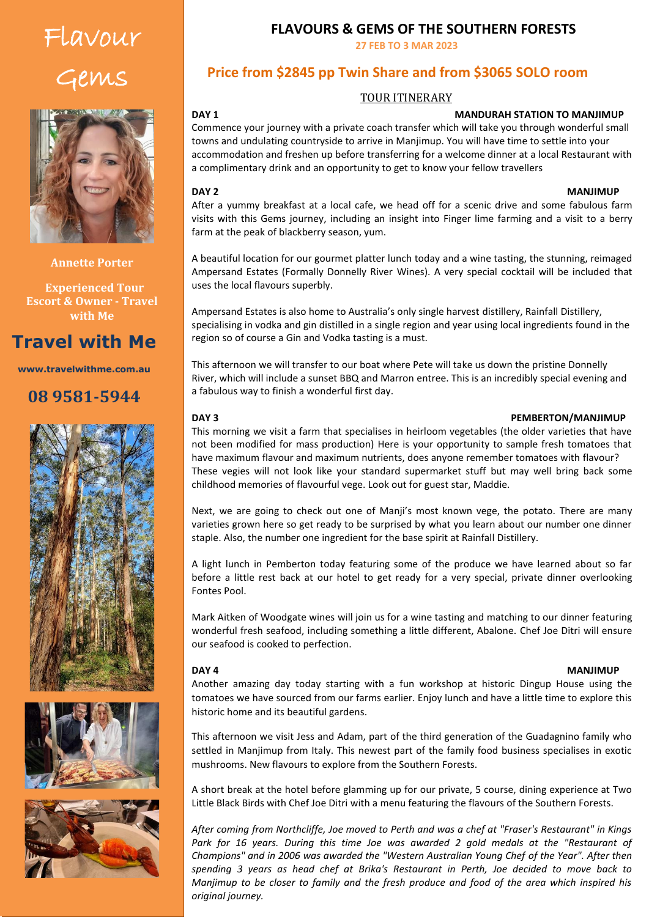# Flavour Gems



**Annette Porter**

 **Experienced Tour Escort & Owner - Travel with Me**

## **Travel with Me**

**www.travelwithme.com.au**

### **08 9581-5944**







### **FLAVOURS & GEMS OF THE SOUTHERN FORESTS**

**27 FEB TO 3 MAR 2023**

### **Price from \$2845 pp Twin Share and from \$3065 SOLO room**

### TOUR ITINERARY

### **DAY 1 MANURAH STATION TO MANJIMUP**

Commence your journey with a private coach transfer which will take you through wonderful small<br>Commence your journey with a private coach transfer which will take you through wonderful small towns and undulating countryside to arrive in Manjimup. You will have time to settle into your accommodation and freshen up before transferring for a welcome dinner at a local Restaurant with a complimentary drink and an opportunity to get to know your fellow travellers

### $\mathsf{M}\mathsf{A}\mathsf{M}$ l the time watching the sky for wildlife and the sky for will take  $\mathsf{M}\mathsf{A}\mathsf{M}$ **DAY 2 MANJIMUP**

After a yummy breakfast at a local cafe, we head off for a scenic drive and some fabulous farm visits with this Gems journey, including an insight into Finger lime farming and a visit to a berry farm at the peak of blackberry season, yum.

A beautiful location for our gourmet platter lunch today and a wine tasting, the stunning, reimaged Ampersand Estates (Formally Donnelly River Wines). A very special cocktail will be included that uses the local flavours superbly.

Ampersand Estates is also home to Australia's only single harvest distillery, Rainfall Distillery, specialising in vodka and gin distilled in a single region and year using local ingredients found in the region so of course a Gin and Vodka tasting is a must.

This afternoon we will transfer to our boat where Pete will take us down the pristine Donnelly River, which will include a sunset BBQ and Marron entree. This is an incredibly special evening and a fabulous way to finish a wonderful first day.

### **DAY 3 PEMBERTON/MANJIMUP**

This morning we visit a farm that specialises in heirloom vegetables (the older varieties that have not been modified for mass production) Here is your opportunity to sample fresh tomatoes that have maximum flavour and maximum nutrients, does anyone remember tomatoes with flavour? These vegies will not look like your standard supermarket stuff but may well bring back some childhood memories of flavourful vege. Look out for guest star, Maddie.

Next, we are going to check out one of Manji's most known vege, the potato. There are many varieties grown here so get ready to be surprised by what you learn about our number one dinner staple. Also, the number one ingredient for the base spirit at Rainfall Distillery.

A light lunch in Pemberton today featuring some of the produce we have learned about so far before a little rest back at our hotel to get ready for a very special, private dinner overlooking Fontes Pool.

Mark Aitken of Woodgate wines will join us for a wine tasting and matching to our dinner featuring wonderful fresh seafood, including something a little different, Abalone. Chef Joe Ditri will ensure our seafood is cooked to perfection.

### **DAY 4 MANJIMUP**

Another amazing day today starting with a fun workshop at historic Dingup House using the tomatoes we have sourced from our farms earlier. Enjoy lunch and have a little time to explore this historic home and its beautiful gardens.

This afternoon we visit Jess and Adam, part of the third generation of the Guadagnino family who settled in Manjimup from Italy. This newest part of the family food business specialises in exotic mushrooms. New flavours to explore from the Southern Forests.

A short break at the hotel before glamming up for our private, 5 course, dining experience at Two Little Black Birds with Chef Joe Ditri with a menu featuring the flavours of the Southern Forests.

*After coming from Northcliffe, Joe moved to Perth and was a chef at "Fraser's Restaurant" in Kings*  Park for 16 years. During this time Joe was awarded 2 gold medals at the "Restaurant of *Champions" and in 2006 was awarded the "Western Australian Young Chef of the Year". After then spending 3 years as head chef at Brika's Restaurant in Perth, Joe decided to move back to Manjimup to be closer to family and the fresh produce and food of the area which inspired his original journey.*